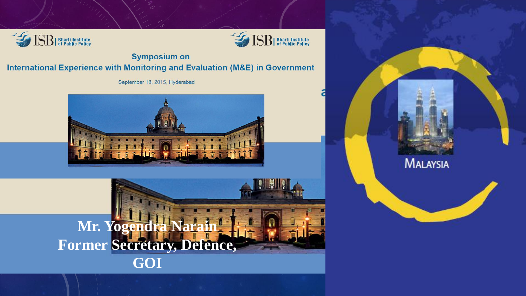



**Symposium on** International Experience with Monitoring and Evaluation (M&E) in Government

September 18, 2015, Hyderabad





**MALAYSIA**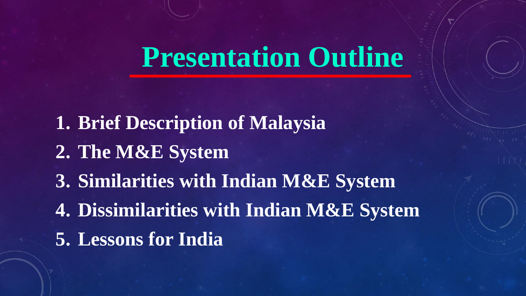### **Presentation Outline**

**1. Brief Description of Malaysia 2. The M&E System 3. Similarities with Indian M&E System 4. Dissimilarities with Indian M&E System 5. Lessons for India**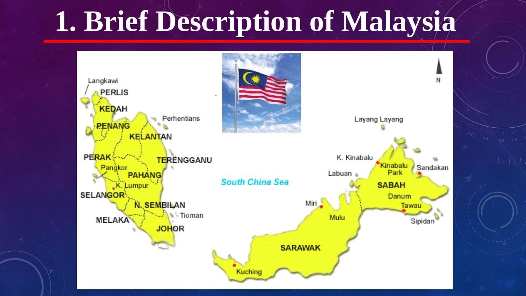## **1. Brief Description of Malaysia**

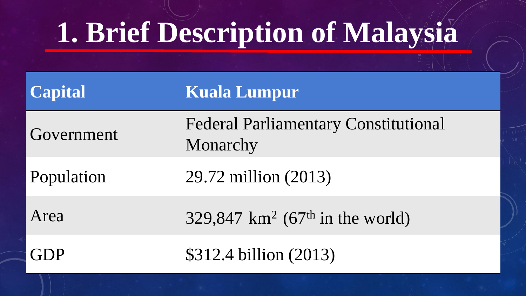## **1. Brief Description of Malaysia**

| <b>Capital</b> | Kuala Lumpur                                            |
|----------------|---------------------------------------------------------|
| Government     | <b>Federal Parliamentary Constitutional</b><br>Monarchy |
| Population     | 29.72 million (2013)                                    |
| Area           | 329,847 $km^2$ (67 <sup>th</sup> in the world)          |
| (iD)           | \$312.4 billion (2013)                                  |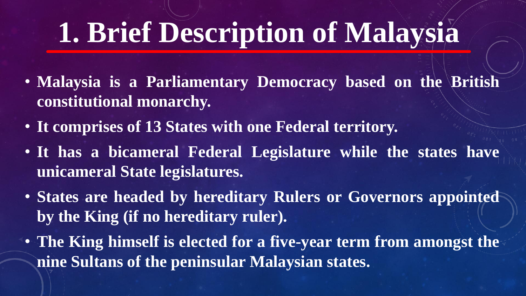## **1. Brief Description of Malaysia**

- **Malaysia is a Parliamentary Democracy based on the British constitutional monarchy.**
- **It comprises of 13 States with one Federal territory.**
- **It has a bicameral Federal Legislature while the states have unicameral State legislatures.**
- **States are headed by hereditary Rulers or Governors appointed by the King (if no hereditary ruler).**
- **The King himself is elected for a five-year term from amongst the nine Sultans of the peninsular Malaysian states.**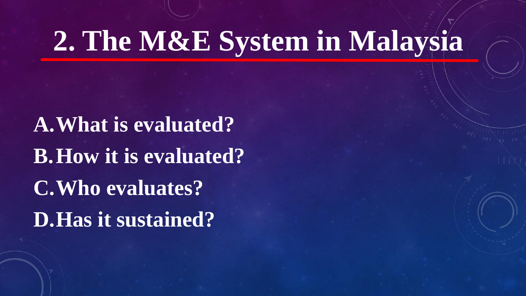**A.What is evaluated? B.How it is evaluated? C.Who evaluates? D.Has it sustained?**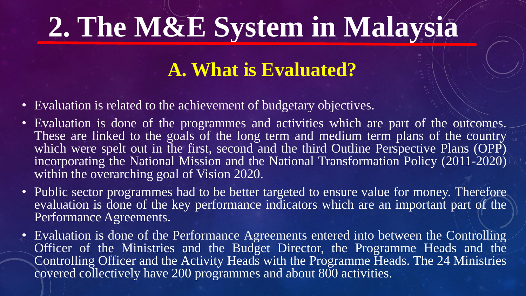#### **A. What is Evaluated?**

- Evaluation is related to the achievement of budgetary objectives.
- Evaluation is done of the programmes and activities which are part of the outcomes. These are linked to the goals of the long term and medium term plans of the country which were spelt out in the first, second and the third Outline Perspective Plans (OPP) incorporating the National Mission and the National Transformation Policy (2011-2020) within the overarching goal of Vision 2020.
- Public sector programmes had to be better targeted to ensure value for money. Therefore evaluation is done of the key performance indicators which are an important part of the Performance Agreements.
- Evaluation is done of the Performance Agreements entered into between the Controlling Officer of the Ministries and the Budget Director, the Programme Heads and the Controlling Officer and the Activity Heads with the Programme Heads. The 24 Ministries covered collectively have 200 programmes and about 800 activities.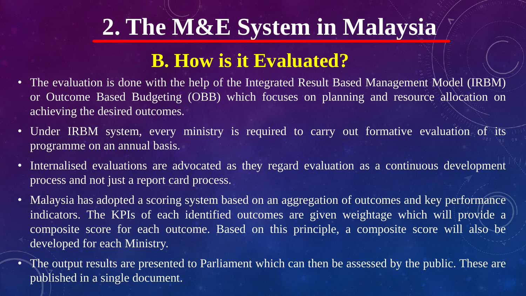#### **B. How is it Evaluated?**

- The evaluation is done with the help of the Integrated Result Based Management Model (IRBM) or Outcome Based Budgeting (OBB) which focuses on planning and resource allocation on achieving the desired outcomes.
- Under IRBM system, every ministry is required to carry out formative evaluation of its programme on an annual basis.
- Internalised evaluations are advocated as they regard evaluation as a continuous development process and not just a report card process.
- Malaysia has adopted a scoring system based on an aggregation of outcomes and key performance indicators. The KPIs of each identified outcomes are given weightage which will provide a composite score for each outcome. Based on this principle, a composite score will also be developed for each Ministry.
- The output results are presented to Parliament which can then be assessed by the public. These are published in a single document.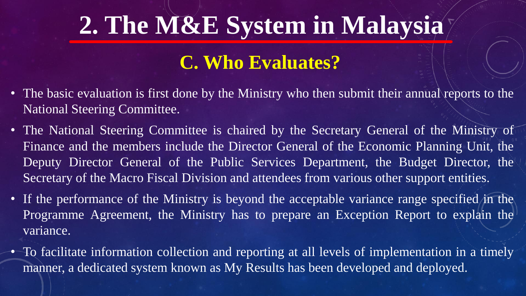#### **C. Who Evaluates?**

- The basic evaluation is first done by the Ministry who then submit their annual reports to the National Steering Committee.
- The National Steering Committee is chaired by the Secretary General of the Ministry of Finance and the members include the Director General of the Economic Planning Unit, the Deputy Director General of the Public Services Department, the Budget Director, the Secretary of the Macro Fiscal Division and attendees from various other support entities.
- If the performance of the Ministry is beyond the acceptable variance range specified in the Programme Agreement, the Ministry has to prepare an Exception Report to explain the variance.
- To facilitate information collection and reporting at all levels of implementation in a timely manner, a dedicated system known as My Results has been developed and deployed.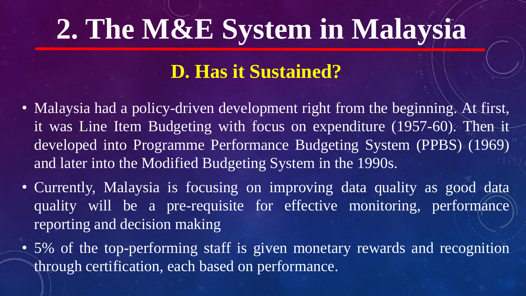#### **D. Has it Sustained?**

- Malaysia had a policy-driven development right from the beginning. At first, it was Line Item Budgeting with focus on expenditure (1957-60). Then it developed into Programme Performance Budgeting System (PPBS) (1969) and later into the Modified Budgeting System in the 1990s.
- Currently, Malaysia is focusing on improving data quality as good data quality will be a pre-requisite for effective monitoring, performance reporting and decision making
- 5% of the top-performing staff is given monetary rewards and recognition through certification, each based on performance.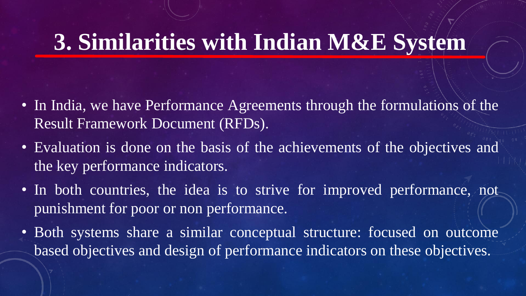#### **3. Similarities with Indian M&E System**

- In India, we have Performance Agreements through the formulations of the Result Framework Document (RFDs).
- Evaluation is done on the basis of the achievements of the objectives and the key performance indicators.
- In both countries, the idea is to strive for improved performance, not punishment for poor or non performance.
- Both systems share a similar conceptual structure: focused on outcome based objectives and design of performance indicators on these objectives.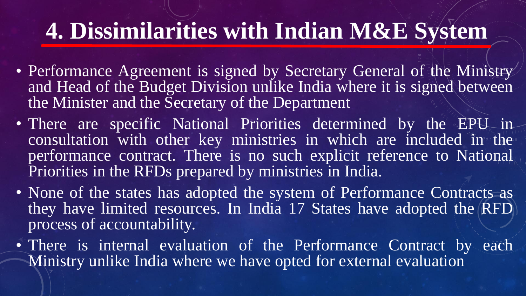### **4. Dissimilarities with Indian M&E System**

- Performance Agreement is signed by Secretary General of the Ministry and Head of the Budget Division unlike India where it is signed between the Minister and the Secretary of the Department
- There are specific National Priorities determined by the EPU in consultation with other key ministries in which are included in the performance contract. There is no such explicit reference to National Priorities in the RFDs prepared by ministries in India.
- None of the states has adopted the system of Performance Contracts as they have limited resources. In India 17 States have adopted the RFD process of accountability.
- There is internal evaluation of the Performance Contract by each Ministry unlike India where we have opted for external evaluation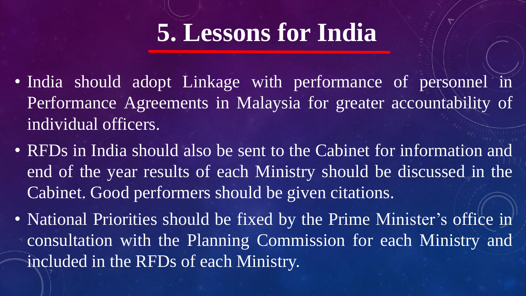### **5. Lessons for India**

- India should adopt Linkage with performance of personnel in Performance Agreements in Malaysia for greater accountability of individual officers.
- RFDs in India should also be sent to the Cabinet for information and end of the year results of each Ministry should be discussed in the Cabinet. Good performers should be given citations.
- National Priorities should be fixed by the Prime Minister's office in consultation with the Planning Commission for each Ministry and included in the RFDs of each Ministry.